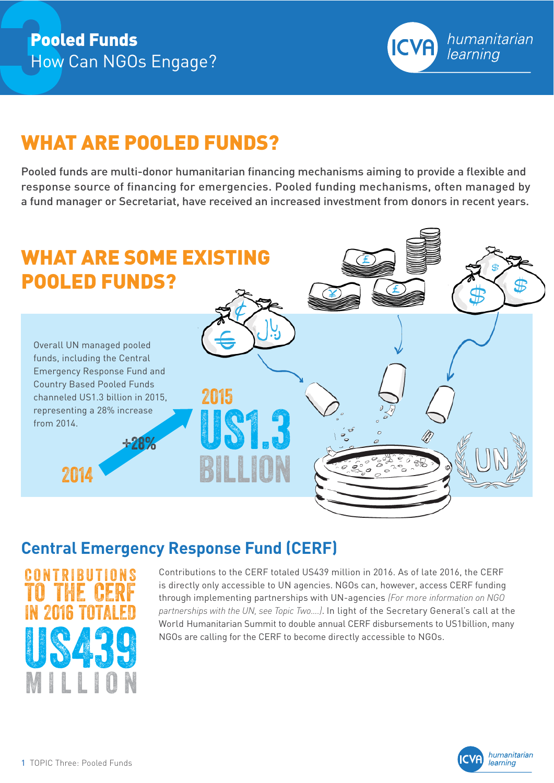

# WHAT ARE POOLED FUNDS?

Pooled funds are multi-donor humanitarian financing mechanisms aiming to provide a flexible and response source of financing for emergencies. Pooled funding mechanisms, often managed by a fund manager or Secretariat, have received an increased investment from donors in recent years.



## **Central Emergency Response Fund (CERF)**



Contributions to the CERF totaled US439 million in 2016. As of late 2016, the CERF is directly only accessible to UN agencies. NGOs can, however, access CERF funding through implementing partnerships with UN-agencies *(For more information on NGO partnerships with the UN, see Topic Two….)*. In light of the Secretary General's call at the World Humanitarian Summit to double annual CERF disbursements to US1billion, many NGOs are calling for the CERF to become directly accessible to NGOs.

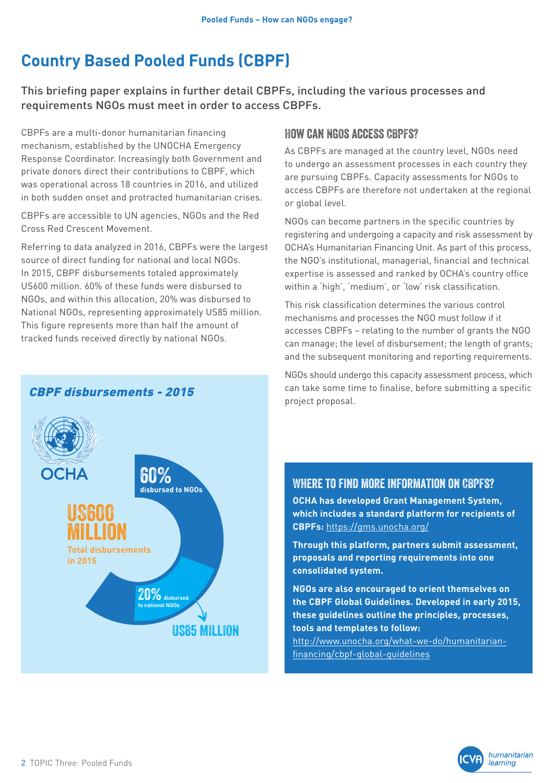# **Country Based Pooled Funds (CBPF)**

This briefing paper explains in further detail CBPFs, including the various processes and requirements NGOs must meet in order to access CBPFs.

CBPFs are a multi-donor humanitarian financing mechanism, established by the UNOCHA Emergency Response Coordinator. Increasingly both Government and private donors direct their contributions to CBPF, which was operational across 18 countries in 2016, and utilized in both sudden onset and protracted humanitarian crises.

CBPFs are accessible to UN agencies, NGOs and the Red Cross Red Crescent Movement.

Referring to data analyzed in 2016, CBPFs were the largest source of direct funding for national and local NGOs. In 2015, CBPF disbursements totaled approximately US600 million. 60% of these funds were disbursed to NGOs, and within this allocation, 20% was disbursed to National NGOs, representing approximately US85 million. This figure represents more than half the amount of tracked funds received directly by national NGOs.

CBPF disbursements - 2015

#### How can NGOs access CBPFs?

As CBPFs are managed at the country level, NGOs need to undergo an assessment processes in each country they are pursuing CBPFs. Capacity assessments for NGOs to access CBPFs are therefore not undertaken at the regional or global level.

NGOs can become partners in the specific countries by registering and undergoing a capacity and risk assessment by OCHA's Humanitarian Financing Unit. As part of this process, the NGO's institutional, managerial, financial and technical expertise is assessed and ranked by OCHA's country office within a 'high', 'medium', or 'low' risk classification.

This risk classification determines the various control mechanisms and processes the NGO must follow if it accesses CBPFs – relating to the number of grants the NGO can manage; the level of disbursement; the length of grants; and the subsequent monitoring and reporting requirements.

US85 MILLION 60% **disbursed to NGOs** US600 million **Total disbursements in 2015** 20%**disbursed to national NGOs**

NGOs should undergo this capacity assessment process, which can take some time to finalise, before submitting a specific project proposal.

#### Where to find more information on CBPFs?

**OCHA has developed Grant Management System, which includes a standard platform for recipients of CBPFs:** <https://gms.unocha.org/>

**Through this platform, partners submit assessment, proposals and reporting requirements into one consolidated system.** 

**NGOs are also encouraged to orient themselves on the CBPF Global Guidelines. Developed in early 2015, these guidelines outline the principles, processes, tools and templates to follow:**

[http://www.unocha.org/what-we-do/humanitarian](http://www.unocha.org/what-we-do/humanitarian-financing/cbpf-global-guidelines)[financing/cbpf-global-guidelines](http://www.unocha.org/what-we-do/humanitarian-financing/cbpf-global-guidelines)

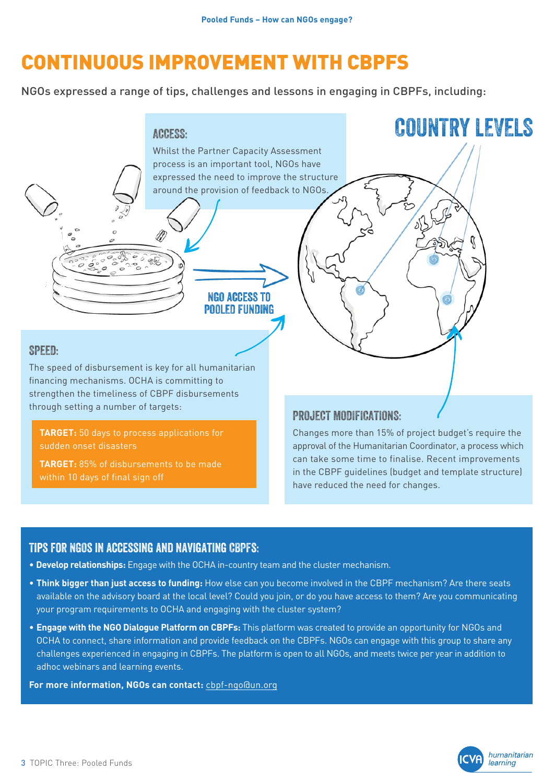# CONTINUOUS IMPROVEMENT WITH CBPFS

NGOs expressed a range of tips, challenges and lessons in engaging in CBPFs, including:



**TARGET:** 50 days to process applications for sudden onset disasters

**TARGET:** 85% of disbursements to be made within 10 days of final sign off

Changes more than 15% of project budget's require the approval of the Humanitarian Coordinator, a process which can take some time to finalise. Recent improvements in the CBPF guidelines (budget and template structure) have reduced the need for changes.

#### Tips for NGOs in accessing and navigating CBPFs:

- **Develop relationships:** Engage with the OCHA in-country team and the cluster mechanism.
- **Think bigger than just access to funding:** How else can you become involved in the CBPF mechanism? Are there seats available on the advisory board at the local level? Could you join, or do you have access to them? Are you communicating your program requirements to OCHA and engaging with the cluster system?
- **Engage with the NGO Dialogue Platform on CBPFs:** This platform was created to provide an opportunity for NGOs and OCHA to connect, share information and provide feedback on the CBPFs. NGOs can engage with this group to share any challenges experienced in engaging in CBPFs. The platform is open to all NGOs, and meets twice per year in addition to adhoc webinars and learning events.

**For more information, NGOs can contact:** cbpf-ngo@un.org